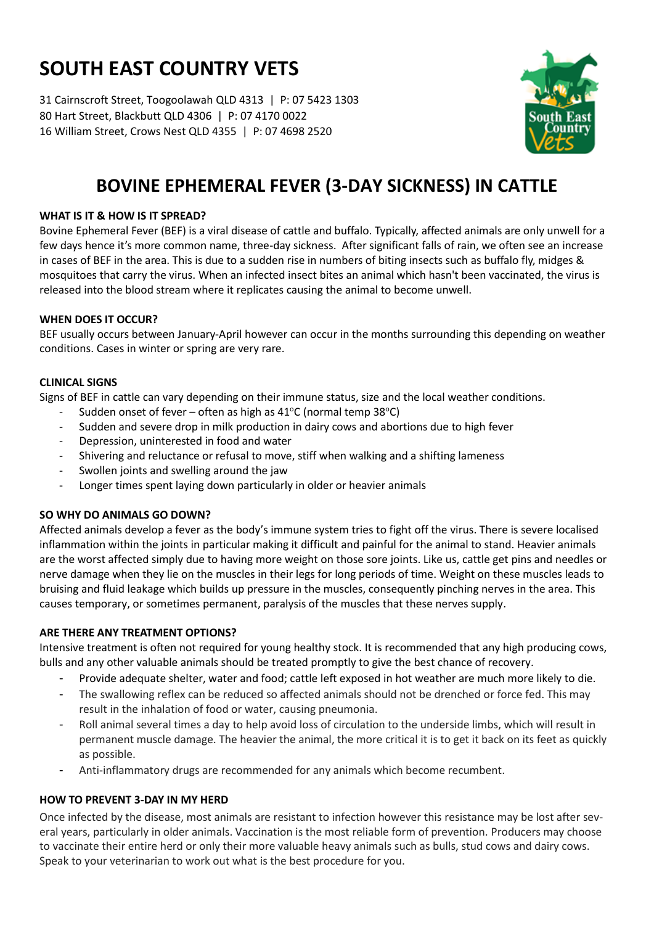# **SOUTH EAST COUNTRY VETS**

31 Cairnscroft Street, Toogoolawah QLD 4313 | P: 07 5423 1303 80 Hart Street, Blackbutt QLD 4306 | P: 07 4170 0022 16 William Street, Crows Nest QLD 4355 | P: 07 4698 2520



# **BOVINE EPHEMERAL FEVER (3-DAY SICKNESS) IN CATTLE**

# **WHAT IS IT & HOW IS IT SPREAD?**

Bovine Ephemeral Fever (BEF) is a viral disease of cattle and buffalo. Typically, affected animals are only unwell for a few days hence it's more common name, three-day sickness. After significant falls of rain, we often see an increase in cases of BEF in the area. This is due to a sudden rise in numbers of biting insects such as buffalo fly, midges & mosquitoes that carry the virus. When an infected insect bites an animal which hasn't been vaccinated, the virus is released into the blood stream where it replicates causing the animal to become unwell.

## **WHEN DOES IT OCCUR?**

BEF usually occurs between January-April however can occur in the months surrounding this depending on weather conditions. Cases in winter or spring are very rare.

#### **CLINICAL SIGNS**

Signs of BEF in cattle can vary depending on their immune status, size and the local weather conditions.

- Sudden onset of fever often as high as  $41^{\circ}$ C (normal temp 38 $^{\circ}$ C)
- Sudden and severe drop in milk production in dairy cows and abortions due to high fever
- Depression, uninterested in food and water
- Shivering and reluctance or refusal to move, stiff when walking and a shifting lameness
- Swollen joints and swelling around the jaw
- Longer times spent laying down particularly in older or heavier animals

# **SO WHY DO ANIMALS GO DOWN?**

Affected animals develop a fever as the body's immune system tries to fight off the virus. There is severe localised inflammation within the joints in particular making it difficult and painful for the animal to stand. Heavier animals are the worst affected simply due to having more weight on those sore joints. Like us, cattle get pins and needles or nerve damage when they lie on the muscles in their legs for long periods of time. Weight on these muscles leads to bruising and fluid leakage which builds up pressure in the muscles, consequently pinching nerves in the area. This causes temporary, or sometimes permanent, paralysis of the muscles that these nerves supply.

#### **ARE THERE ANY TREATMENT OPTIONS?**

Intensive treatment is often not required for young healthy stock. It is recommended that any high producing cows, bulls and any other valuable animals should be treated promptly to give the best chance of recovery.

- Provide adequate shelter, water and food; cattle left exposed in hot weather are much more likely to die.
- The swallowing reflex can be reduced so affected animals should not be drenched or force fed. This may result in the inhalation of food or water, causing pneumonia.
- Roll animal several times a day to help avoid loss of circulation to the underside limbs, which will result in permanent muscle damage. The heavier the animal, the more critical it is to get it back on its feet as quickly as possible.
- Anti-inflammatory drugs are recommended for any animals which become recumbent.

# **HOW TO PREVENT 3-DAY IN MY HERD**

Once infected by the disease, most animals are resistant to infection however this resistance may be lost after several years, particularly in older animals. Vaccination is the most reliable form of prevention. Producers may choose to vaccinate their entire herd or only their more valuable heavy animals such as bulls, stud cows and dairy cows. Speak to your veterinarian to work out what is the best procedure for you.